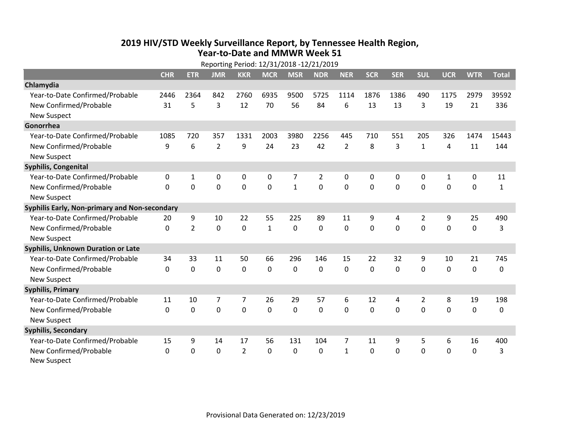## **2019 HIV /STD Weekly Surveillance Report, by Tennessee Health Region, Year‐to‐Date and MMWR Week 51** Reporting Period: 12/31/2018 ‐12/21/2019

|                                               | Reporting Period: 12/31/2018 -12/21/2019 |                |                |                |              |              |                |                |              |            |                |              |             |              |
|-----------------------------------------------|------------------------------------------|----------------|----------------|----------------|--------------|--------------|----------------|----------------|--------------|------------|----------------|--------------|-------------|--------------|
|                                               | <b>CHR</b>                               | <b>ETR</b>     | <b>JMR</b>     | <b>KKR</b>     | <b>MCR</b>   | <b>MSR</b>   | <b>NDR</b>     | <b>NER</b>     | <b>SCR</b>   | <b>SER</b> | <b>SUL</b>     | <b>UCR</b>   | <b>WTR</b>  | <b>Total</b> |
| Chlamydia                                     |                                          |                |                |                |              |              |                |                |              |            |                |              |             |              |
| Year-to-Date Confirmed/Probable               | 2446                                     | 2364           | 842            | 2760           | 6935         | 9500         | 5725           | 1114           | 1876         | 1386       | 490            | 1175         | 2979        | 39592        |
| New Confirmed/Probable                        | 31                                       | 5              | 3              | 12             | 70           | 56           | 84             | 6              | 13           | 13         | 3              | 19           | 21          | 336          |
| <b>New Suspect</b>                            |                                          |                |                |                |              |              |                |                |              |            |                |              |             |              |
| Gonorrhea                                     |                                          |                |                |                |              |              |                |                |              |            |                |              |             |              |
| Year-to-Date Confirmed/Probable               | 1085                                     | 720            | 357            | 1331           | 2003         | 3980         | 2256           | 445            | 710          | 551        | 205            | 326          | 1474        | 15443        |
| New Confirmed/Probable                        | 9                                        | 6              | $\overline{2}$ | 9              | 24           | 23           | 42             | $\overline{2}$ | 8            | 3          | $\mathbf{1}$   | 4            | 11          | 144          |
| <b>New Suspect</b>                            |                                          |                |                |                |              |              |                |                |              |            |                |              |             |              |
| <b>Syphilis, Congenital</b>                   |                                          |                |                |                |              |              |                |                |              |            |                |              |             |              |
| Year-to-Date Confirmed/Probable               | 0                                        | 1              | 0              | 0              | $\mathbf 0$  | 7            | $\overline{2}$ | 0              | 0            | 0          | 0              | $\mathbf{1}$ | 0           | 11           |
| New Confirmed/Probable                        | $\mathbf{0}$                             | 0              | 0              | 0              | $\mathbf 0$  | $\mathbf{1}$ | 0              | $\mathbf 0$    | $\mathbf{0}$ | 0          | 0              | 0            | $\mathbf 0$ | $\mathbf{1}$ |
| <b>New Suspect</b>                            |                                          |                |                |                |              |              |                |                |              |            |                |              |             |              |
| Syphilis Early, Non-primary and Non-secondary |                                          |                |                |                |              |              |                |                |              |            |                |              |             |              |
| Year-to-Date Confirmed/Probable               | 20                                       | 9              | 10             | 22             | 55           | 225          | 89             | 11             | 9            | 4          | 2              | 9            | 25          | 490          |
| New Confirmed/Probable                        | $\Omega$                                 | $\overline{2}$ | 0              | 0              | $\mathbf{1}$ | $\mathbf 0$  | $\Omega$       | $\Omega$       | $\Omega$     | $\Omega$   | $\Omega$       | $\Omega$     | $\mathbf 0$ | 3            |
| <b>New Suspect</b>                            |                                          |                |                |                |              |              |                |                |              |            |                |              |             |              |
| Syphilis, Unknown Duration or Late            |                                          |                |                |                |              |              |                |                |              |            |                |              |             |              |
| Year-to-Date Confirmed/Probable               | 34                                       | 33             | 11             | 50             | 66           | 296          | 146            | 15             | 22           | 32         | 9              | 10           | 21          | 745          |
| New Confirmed/Probable                        | $\Omega$                                 | $\Omega$       | 0              | 0              | $\mathbf 0$  | 0            | $\Omega$       | $\Omega$       | $\Omega$     | $\Omega$   | $\Omega$       | 0            | $\mathbf 0$ | 0            |
| <b>New Suspect</b>                            |                                          |                |                |                |              |              |                |                |              |            |                |              |             |              |
| <b>Syphilis, Primary</b>                      |                                          |                |                |                |              |              |                |                |              |            |                |              |             |              |
| Year-to-Date Confirmed/Probable               | 11                                       | 10             | $\overline{7}$ | $\overline{7}$ | 26           | 29           | 57             | 6              | 12           | 4          | $\overline{2}$ | 8            | 19          | 198          |
| New Confirmed/Probable                        | $\Omega$                                 | $\mathbf 0$    | 0              | 0              | $\mathbf 0$  | 0            | 0              | $\Omega$       | $\Omega$     | $\Omega$   | $\Omega$       | $\Omega$     | $\mathbf 0$ | 0            |
| <b>New Suspect</b>                            |                                          |                |                |                |              |              |                |                |              |            |                |              |             |              |
| <b>Syphilis, Secondary</b>                    |                                          |                |                |                |              |              |                |                |              |            |                |              |             |              |
| Year-to-Date Confirmed/Probable               | 15                                       | 9              | 14             | 17             | 56           | 131          | 104            | 7              | 11           | 9          | 5              | 6            | 16          | 400          |
| New Confirmed/Probable                        | $\mathbf{0}$                             | 0              | 0              | $\overline{2}$ | $\Omega$     | 0            | 0              | $\mathbf{1}$   | $\Omega$     | 0          | 0              | 0            | $\mathbf 0$ | 3            |
| <b>New Suspect</b>                            |                                          |                |                |                |              |              |                |                |              |            |                |              |             |              |